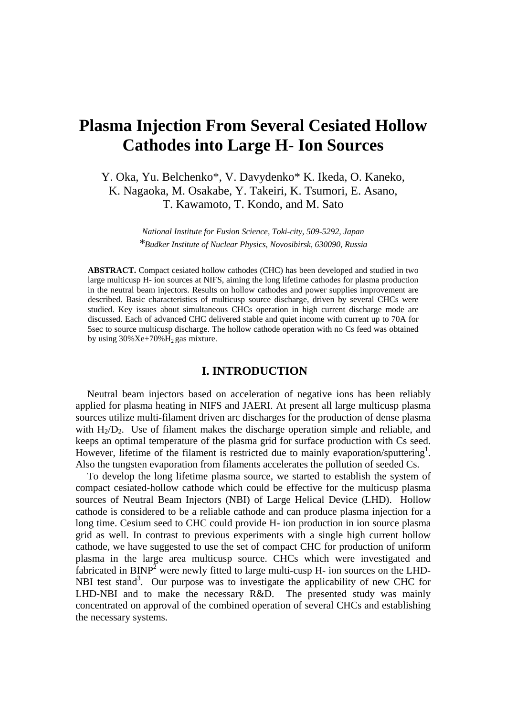# **Plasma Injection From Several Cesiated Hollow Cathodes into Large H- Ion Sources**

Y. Oka, Yu. Belchenko\*, V. Davydenko\* K. Ikeda, O. Kaneko, K. Nagaoka, M. Osakabe, Y. Takeiri, K. Tsumori, E. Asano, T. Kawamoto, T. Kondo, and M. Sato

> *National Institute for Fusion Science, Toki-city, 509-5292, Japan \*Budker Institute of Nuclear Physics, Novosibirsk, 630090, Russia*

**ABSTRACT.** Compact cesiated hollow cathodes (CHC) has been developed and studied in two large multicusp H- ion sources at NIFS, aiming the long lifetime cathodes for plasma production in the neutral beam injectors. Results on hollow cathodes and power supplies improvement are described. Basic characteristics of multicusp source discharge, driven by several CHCs were studied. Key issues about simultaneous CHCs operation in high current discharge mode are discussed. Each of advanced CHC delivered stable and quiet income with current up to 70A for 5sec to source multicusp discharge. The hollow cathode operation with no Cs feed was obtained by using  $30\%Xe+70\%H_2$  gas mixture.

### **I. INTRODUCTION**

Neutral beam injectors based on acceleration of negative ions has been reliably applied for plasma heating in NIFS and JAERI. At present all large multicusp plasma sources utilize multi-filament driven arc discharges for the production of dense plasma with  $H_2/D_2$ . Use of filament makes the discharge operation simple and reliable, and keeps an optimal temperature of the plasma grid for surface production with Cs seed. However, lifetime of the filament is restricted due to mainly evaporation/sputtering<sup>1</sup>. Also the tungsten evaporation from filaments accelerates the pollution of seeded Cs.

To develop the long lifetime plasma source, we started to establish the system of compact cesiated-hollow cathode which could be effective for the multicusp plasma sources of Neutral Beam Injectors (NBI) of Large Helical Device (LHD). Hollow cathode is considered to be a reliable cathode and can produce plasma injection for a long time. Cesium seed to CHC could provide H- ion production in ion source plasma grid as well. In contrast to previous experiments with a single high current hollow cathode, we have suggested to use the set of compact CHC for production of uniform plasma in the large area multicusp source. CHCs which were investigated and fabricated in  $BINP<sup>2</sup>$  were newly fitted to large multi-cusp H- ion sources on the LHD-NBI test stand<sup>3</sup>. Our purpose was to investigate the applicability of new CHC for LHD-NBI and to make the necessary R&D. The presented study was mainly concentrated on approval of the combined operation of several CHCs and establishing the necessary systems.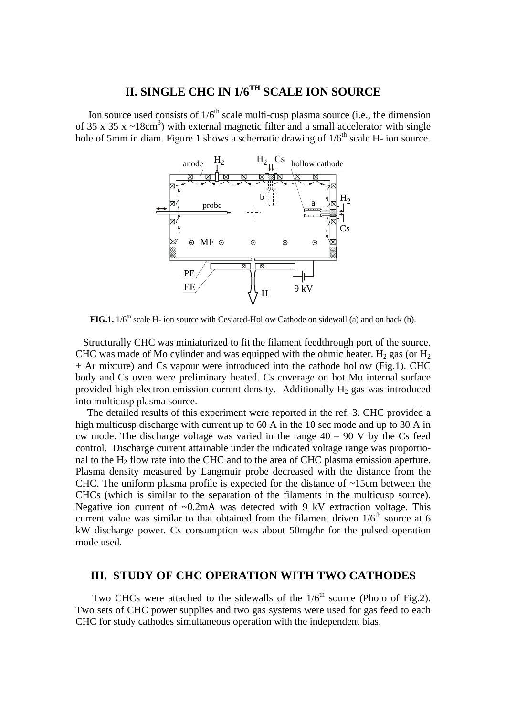# **II. SINGLE CHC IN 1/6TH SCALE ION SOURCE**

Ion source used consists of  $1/6<sup>th</sup>$  scale multi-cusp plasma source (i.e., the dimension of 35 x 35 x  $\sim$ 18cm<sup>3</sup>) with external magnetic filter and a small accelerator with single hole of 5mm in diam. Figure 1 shows a schematic drawing of  $1/6<sup>th</sup>$  scale H- ion source.



**FIG.1.**  $1/6$ <sup>th</sup> scale H- ion source with Cesiated-Hollow Cathode on sidewall (a) and on back (b).

Structurally CHC was miniaturized to fit the filament feedthrough port of the source. CHC was made of Mo cylinder and was equipped with the ohmic heater.  $H_2$  gas (or  $H_2$ ) + Ar mixture) and Cs vapour were introduced into the cathode hollow (Fig.1). CHC body and Cs oven were preliminary heated. Cs coverage on hot Mo internal surface provided high electron emission current density. Additionally  $H_2$  gas was introduced into multicusp plasma source.

The detailed results of this experiment were reported in the ref. 3. CHC provided a high multicusp discharge with current up to 60 A in the 10 sec mode and up to 30 A in cw mode. The discharge voltage was varied in the range  $40 - 90$  V by the Cs feed control. Discharge current attainable under the indicated voltage range was proportional to the  $H_2$  flow rate into the CHC and to the area of CHC plasma emission aperture. Plasma density measured by Langmuir probe decreased with the distance from the CHC. The uniform plasma profile is expected for the distance of ~15cm between the CHCs (which is similar to the separation of the filaments in the multicusp source). Negative ion current of  $\sim 0.2$ mA was detected with 9 kV extraction voltage. This current value was similar to that obtained from the filament driven  $1/6<sup>th</sup>$  source at 6 kW discharge power. Cs consumption was about 50mg/hr for the pulsed operation mode used.

### **III. STUDY OF CHC OPERATION WITH TWO CATHODES**

Two CHCs were attached to the sidewalls of the  $1/6<sup>th</sup>$  source (Photo of Fig.2). Two sets of CHC power supplies and two gas systems were used for gas feed to each CHC for study cathodes simultaneous operation with the independent bias.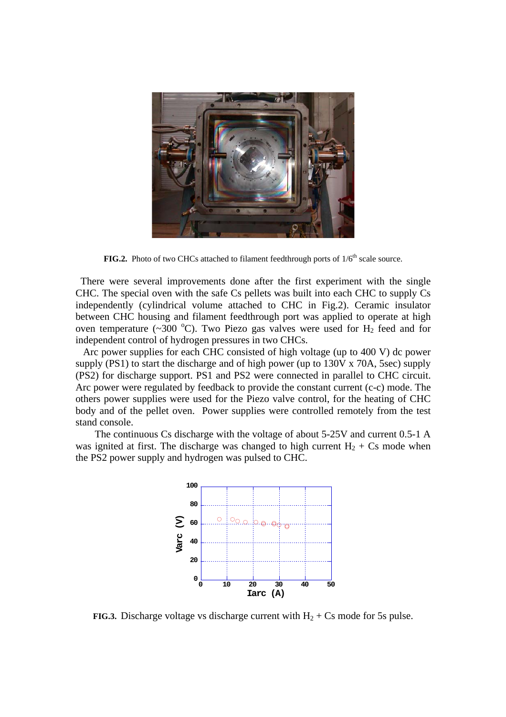

**FIG.2.** Photo of two CHCs attached to filament feedthrough ports of  $1/6<sup>th</sup>$  scale source.

There were several improvements done after the first experiment with the single CHC. The special oven with the safe Cs pellets was built into each CHC to supply Cs independently (cylindrical volume attached to CHC in Fig.2). Ceramic insulator between CHC housing and filament feedthrough port was applied to operate at high oven temperature (~300 °C). Two Piezo gas valves were used for  $H_2$  feed and for independent control of hydrogen pressures in two CHCs.

Arc power supplies for each CHC consisted of high voltage (up to 400 V) dc power supply (PS1) to start the discharge and of high power (up to 130V x 70A, 5sec) supply (PS2) for discharge support. PS1 and PS2 were connected in parallel to CHC circuit. Arc power were regulated by feedback to provide the constant current (c-c) mode. The others power supplies were used for the Piezo valve control, for the heating of CHC body and of the pellet oven. Power supplies were controlled remotely from the test stand console.

The continuous Cs discharge with the voltage of about 5-25V and current 0.5-1 A was ignited at first. The discharge was changed to high current  $H_2 + Cs$  mode when the PS2 power supply and hydrogen was pulsed to CHC.



**FIG.3.** Discharge voltage vs discharge current with  $H_2 + Cs$  mode for 5s pulse.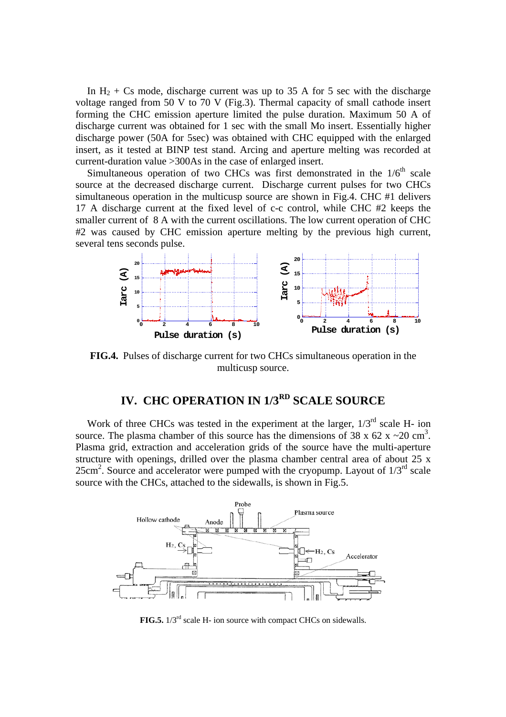In  $H_2$  + Cs mode, discharge current was up to 35 A for 5 sec with the discharge voltage ranged from 50 V to 70 V (Fig.3). Thermal capacity of small cathode insert forming the CHC emission aperture limited the pulse duration. Maximum 50 A of discharge current was obtained for 1 sec with the small Mo insert. Essentially higher discharge power (50A for 5sec) was obtained with CHC equipped with the enlarged insert, as it tested at BINP test stand. Arcing and aperture melting was recorded at current-duration value >300As in the case of enlarged insert.

Simultaneous operation of two CHCs was first demonstrated in the  $1/6<sup>th</sup>$  scale source at the decreased discharge current. Discharge current pulses for two CHCs simultaneous operation in the multicusp source are shown in Fig.4. CHC #1 delivers 17 A discharge current at the fixed level of c-c control, while CHC #2 keeps the smaller current of 8 A with the current oscillations. The low current operation of CHC #2 was caused by CHC emission aperture melting by the previous high current, several tens seconds pulse.



**FIG.4.** Pulses of discharge current for two CHCs simultaneous operation in the multicusp source.

## **IV. CHC OPERATION IN 1/3RD SCALE SOURCE**

Work of three CHCs was tested in the experiment at the larger,  $1/3^{rd}$  scale H- ion source. The plasma chamber of this source has the dimensions of 38 x 62 x  $\sim$  20 cm<sup>3</sup>. Plasma grid, extraction and acceleration grids of the source have the multi-aperture structure with openings, drilled over the plasma chamber central area of about 25 x  $25 \text{cm}^2$ . Source and accelerator were pumped with the cryopump. Layout of  $1/3^{\text{rd}}$  scale source with the CHCs, attached to the sidewalls, is shown in Fig.5.



**FIG.5.** 1/3<sup>rd</sup> scale H- ion source with compact CHCs on sidewalls.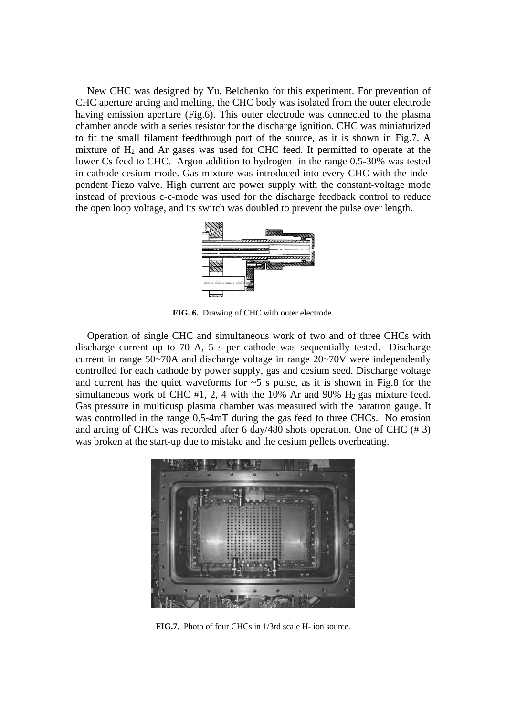New CHC was designed by Yu. Belchenko for this experiment. For prevention of CHC aperture arcing and melting, the CHC body was isolated from the outer electrode having emission aperture (Fig.6). This outer electrode was connected to the plasma chamber anode with a series resistor for the discharge ignition. CHC was miniaturized to fit the small filament feedthrough port of the source, as it is shown in Fig.7. A mixture of  $H_2$  and Ar gases was used for CHC feed. It permitted to operate at the lower Cs feed to CHC. Argon addition to hydrogen in the range 0.5-30% was tested in cathode cesium mode. Gas mixture was introduced into every CHC with the independent Piezo valve. High current arc power supply with the constant-voltage mode instead of previous c-c-mode was used for the discharge feedback control to reduce the open loop voltage, and its switch was doubled to prevent the pulse over length.



**FIG. 6.** Drawing of CHC with outer electrode.

Operation of single CHC and simultaneous work of two and of three CHCs with discharge current up to 70 A, 5 s per cathode was sequentially tested. Discharge current in range 50~70A and discharge voltage in range 20~70V were independently controlled for each cathode by power supply, gas and cesium seed. Discharge voltage and current has the quiet waveforms for  $\sim$  5 s pulse, as it is shown in Fig.8 for the simultaneous work of CHC #1, 2, 4 with the 10% Ar and 90%  $H_2$  gas mixture feed. Gas pressure in multicusp plasma chamber was measured with the baratron gauge. It was controlled in the range 0.5-4mT during the gas feed to three CHCs. No erosion and arcing of CHCs was recorded after 6 day/480 shots operation. One of CHC (# 3) was broken at the start-up due to mistake and the cesium pellets overheating.



**FIG.7.** Photo of four CHCs in 1/3rd scale H- ion source.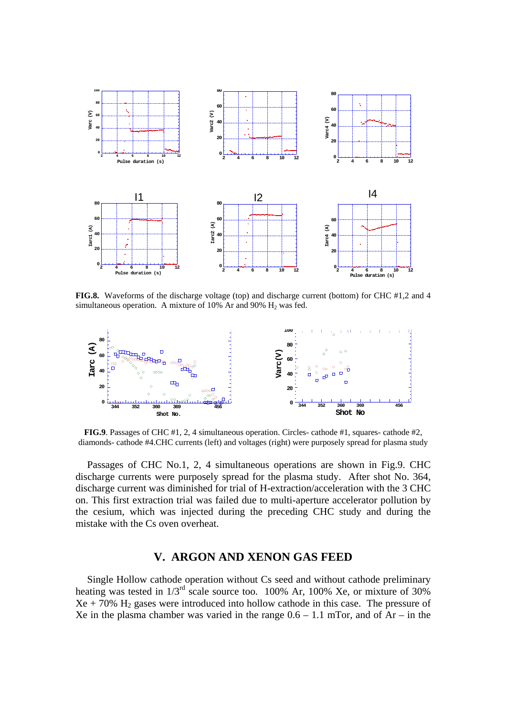

**FIG.8.** Waveforms of the discharge voltage (top) and discharge current (bottom) for CHC #1,2 and 4 simultaneous operation. A mixture of  $10\%$  Ar and  $90\%$  H<sub>2</sub> was fed.



**FIG.9**. Passages of CHC #1, 2, 4 simultaneous operation. Circles- cathode #1, squares- cathode #2, diamonds- cathode #4.CHC currents (left) and voltages (right) were purposely spread for plasma study

Passages of CHC No.1, 2, 4 simultaneous operations are shown in Fig.9. CHC discharge currents were purposely spread for the plasma study. After shot No. 364, discharge current was diminished for trial of H-extraction/acceleration with the 3 CHC on. This first extraction trial was failed due to multi-aperture accelerator pollution by the cesium, which was injected during the preceding CHC study and during the mistake with the Cs oven overheat.

### **V. ARGON AND XENON GAS FEED**

Single Hollow cathode operation without Cs seed and without cathode preliminary heating was tested in  $1/3^{rd}$  scale source too. 100% Ar, 100% Xe, or mixture of 30%  $Xe + 70\%$  H<sub>2</sub> gases were introduced into hollow cathode in this case. The pressure of Xe in the plasma chamber was varied in the range  $0.6 - 1.1$  mTor, and of Ar – in the